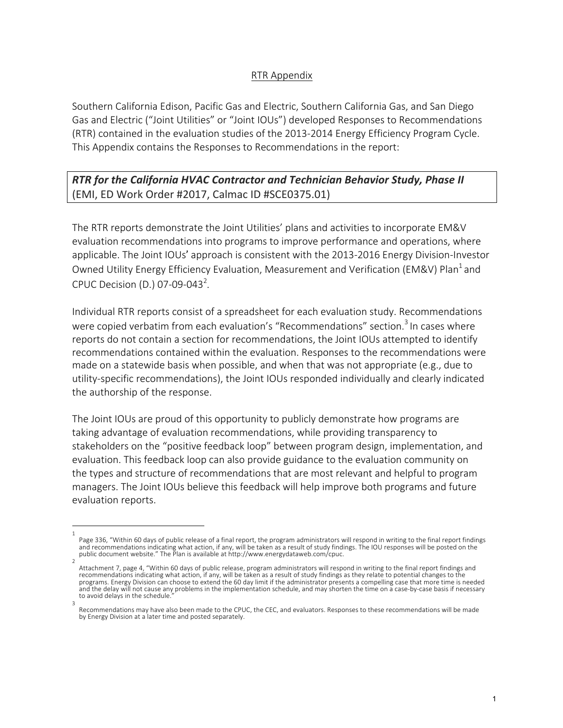## RTR Appendix

Southern California Edison, Pacific Gas and Electric, Southern California Gas, and San Diego Gas and Electric ("Joint Utilities" or "Joint IOUs") developed Responses to Recommendations (RTR) contained in the evaluation studies of the 2013-2014 Energy Efficiency Program Cycle. This Appendix contains the Responses to Recommendations in the report:

*RTR for the California HVAC Contractor and Technician Behavior Study, Phase II* (EMI, ED Work Order #2017, Calmac ID #SCE0375.01)

The RTR reports demonstrate the Joint Utilities' plans and activities to incorporate EM&V evaluation recommendations into programs to improve performance and operations, where applicable. The Joint IOUs' approach is consistent with the 2013-2016 Energy Division-Investor Owned Utility Energy Efficiency Evaluation, Measurement and Verification (EM&V) Plan<sup>1</sup> and CPUC Decision (D.) 07-09-043<sup>2</sup>.

Individual RTR reports consist of a spreadsheet for each evaluation study. Recommendations were copied verbatim from each evaluation's "Recommendations" section.<sup>3</sup> In cases where reports do not contain a section for recommendations, the Joint IOUs attempted to identify recommendations contained within the evaluation. Responses to the recommendations were made on a statewide basis when possible, and when that was not appropriate (e.g., due to utility-specific recommendations), the Joint IOUs responded individually and clearly indicated the authorship of the response.

The Joint IOUs are proud of this opportunity to publicly demonstrate how programs are taking advantage of evaluation recommendations, while providing transparency to stakeholders on the "positive feedback loop" between program design, implementation, and evaluation. This feedback loop can also provide guidance to the evaluation community on the types and structure of recommendations that are most relevant and helpful to program managers. The Joint IOUs believe this feedback will help improve both programs and future evaluation reports.

<sup>1</sup> Page 336, "Within 60 days of public release of a final report, the program administrators will respond in writing to the final report findings and recommendations indicating what action, if any, will be taken as a result of study findings. The IOU responses will be posted on the public document website." The Plan is available at http://www.energydataweb.com/cpuc.

<sup>2</sup> Attachment 7, page 4, "Within 60 days of public release, program administrators will respond in writing to the final report findings and<br>recommendations indicating what action, if any, will be taken as a result of study fi programs. Energy Division can choose to extend the 60 day limit if the administrator presents a compelling case that more time is needed and the delay will not cause any problems in the implementation schedule, and may shorten the time on a case-by-case basis if necessary to avoid delays in the schedule. 3

Recommendations may have also been made to the CPUC, the CEC, and evaluators. Responses to these recommendations will be made by Energy Division at a later time and posted separately.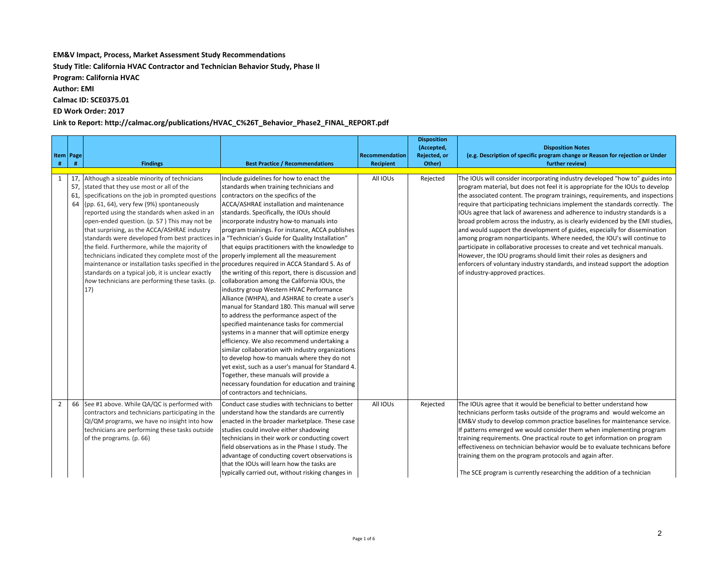## **EM&V** Impact, Process, Market Assessment Study Recommendations

**Study Title: California HVAC Contractor and Technician Behavior Study, Phase II** 

**Program: California HVAC** 

**Author: EMI** 

**Calmac ID: SCE0375.01**

**ED Work Order: 2017**

Link to Report: http://calmac.org/publications/HVAC\_C%26T\_Behavior\_Phase2\_FINAL\_REPORT.pdf

| #              | Item   Page<br># | <b>Findings</b>                                                                                                                                                                                                                                                                                                                                                                                                                                                                                                                                                                                                                                                                                                                                                                                                           | <b>Best Practice / Recommendations</b>                                                                                                                                                                                                                                                                                                                                                                                                                                                                                                                                                                                                                                                                                                                                                                                                                                                                                                                                                                                                                                                                         | Recommendation<br>Recipient | <b>Disposition</b><br>(Accepted,<br>Rejected, or<br>Other) | <b>Disposition Notes</b><br>(e.g. Description of specific program change or Reason for rejection or Under<br>further review)                                                                                                                                                                                                                                                                                                                                                                                                                                                                                                                                                                                                                                                                                                                                                                                                   |
|----------------|------------------|---------------------------------------------------------------------------------------------------------------------------------------------------------------------------------------------------------------------------------------------------------------------------------------------------------------------------------------------------------------------------------------------------------------------------------------------------------------------------------------------------------------------------------------------------------------------------------------------------------------------------------------------------------------------------------------------------------------------------------------------------------------------------------------------------------------------------|----------------------------------------------------------------------------------------------------------------------------------------------------------------------------------------------------------------------------------------------------------------------------------------------------------------------------------------------------------------------------------------------------------------------------------------------------------------------------------------------------------------------------------------------------------------------------------------------------------------------------------------------------------------------------------------------------------------------------------------------------------------------------------------------------------------------------------------------------------------------------------------------------------------------------------------------------------------------------------------------------------------------------------------------------------------------------------------------------------------|-----------------------------|------------------------------------------------------------|--------------------------------------------------------------------------------------------------------------------------------------------------------------------------------------------------------------------------------------------------------------------------------------------------------------------------------------------------------------------------------------------------------------------------------------------------------------------------------------------------------------------------------------------------------------------------------------------------------------------------------------------------------------------------------------------------------------------------------------------------------------------------------------------------------------------------------------------------------------------------------------------------------------------------------|
| 1              | 61,<br>64        | 17, Although a sizeable minority of technicians<br>57, stated that they use most or all of the<br>specifications on the job in prompted questions<br>(pp. 61, 64), very few (9%) spontaneously<br>reported using the standards when asked in an<br>open-ended question. (p. 57) This may not be<br>that surprising, as the ACCA/ASHRAE industry<br>standards were developed from best practices in a "Technician's Guide for Quality Installation"<br>the field. Furthermore, while the majority of<br>technicians indicated they complete most of the properly implement all the measurement<br>maintenance or installation tasks specified in the procedures required in ACCA Standard 5. As of<br>standards on a typical job, it is unclear exactly<br>how technicians are performing these tasks. (p.<br>$ 17\rangle$ | Include guidelines for how to enact the<br>standards when training technicians and<br>contractors on the specifics of the<br>ACCA/ASHRAE installation and maintenance<br>standards. Specifically, the IOUs should<br>incorporate industry how-to manuals into<br>program trainings. For instance, ACCA publishes<br>that equips practitioners with the knowledge to<br>the writing of this report, there is discussion and<br>collaboration among the California IOUs, the<br>industry group Western HVAC Performance<br>Alliance (WHPA), and ASHRAE to create a user's<br>manual for Standard 180. This manual will serve<br>to address the performance aspect of the<br>specified maintenance tasks for commercial<br>systems in a manner that will optimize energy<br>efficiency. We also recommend undertaking a<br>similar collaboration with industry organizations<br>to develop how-to manuals where they do not<br>yet exist, such as a user's manual for Standard 4.<br>Together, these manuals will provide a<br>necessary foundation for education and training<br>of contractors and technicians. | All IOUs                    | Rejected                                                   | The IOUs will consider incorporating industry developed "how to" guides into<br>program material, but does not feel it is appropriate for the IOUs to develop<br>the associated content. The program trainings, requirements, and inspections<br>require that participating technicians implement the standards correctly. The<br>IOUs agree that lack of awareness and adherence to industry standards is a<br>broad problem across the industry, as is clearly evidenced by the EMI studies,<br>and would support the development of guides, especially for dissemination<br>among program nonparticipants. Where needed, the IOU's will continue to<br>participate in collaborative processes to create and vet technical manuals.<br>However, the IOU programs should limit their roles as designers and<br>enforcers of voluntary industry standards, and instead support the adoption<br>of industry-approved practices. |
| $\overline{2}$ |                  | 66 See #1 above. While QA/QC is performed with<br>contractors and technicians participating in the<br>QI/QM programs, we have no insight into how<br>technicians are performing these tasks outside<br>of the programs. (p. 66)                                                                                                                                                                                                                                                                                                                                                                                                                                                                                                                                                                                           | Conduct case studies with technicians to better<br>understand how the standards are currently<br>enacted in the broader marketplace. These case<br>studies could involve either shadowing<br>technicians in their work or conducting covert<br>field observations as in the Phase I study. The<br>advantage of conducting covert observations is<br>that the IOUs will learn how the tasks are<br>typically carried out, without risking changes in                                                                                                                                                                                                                                                                                                                                                                                                                                                                                                                                                                                                                                                            | All IOUs                    | Rejected                                                   | The IOUs agree that it would be beneficial to better understand how<br>technicians perform tasks outside of the programs and would welcome an<br>EM&V study to develop common practice baselines for maintenance service.<br>If patterns emerged we would consider them when implementing program<br>training requirements. One practical route to get information on program<br>effectiveness on technician behavior would be to evaluate technicans before<br>training them on the program protocols and again after.<br>The SCE program is currently researching the addition of a technician                                                                                                                                                                                                                                                                                                                               |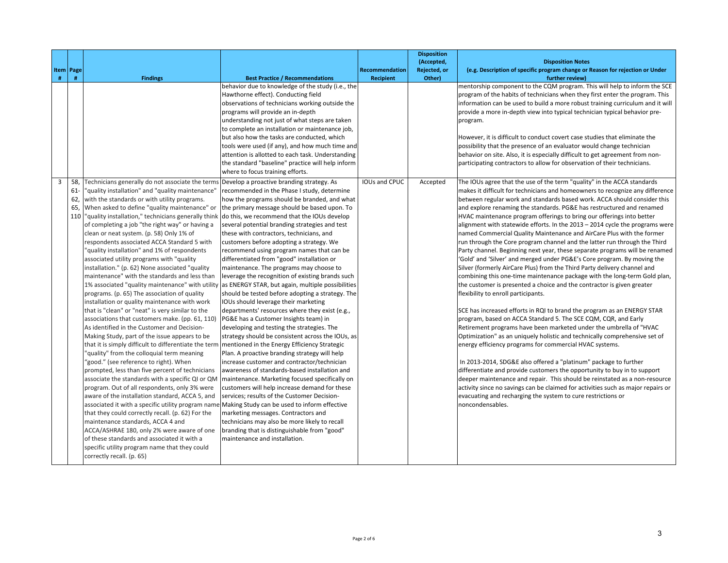|   |             |                                                                                                   |                                                                                                    |                  | <b>Disposition</b> |                                                                                                                                                  |
|---|-------------|---------------------------------------------------------------------------------------------------|----------------------------------------------------------------------------------------------------|------------------|--------------------|--------------------------------------------------------------------------------------------------------------------------------------------------|
|   |             |                                                                                                   |                                                                                                    |                  | (Accepted,         | <b>Disposition Notes</b>                                                                                                                         |
|   | Item   Page |                                                                                                   |                                                                                                    | Recommendation   | Rejected, or       | (e.g. Description of specific program change or Reason for rejection or Under                                                                    |
| # | #           | <b>Findings</b>                                                                                   | <b>Best Practice / Recommendations</b>                                                             | <b>Recipient</b> | Other)             | further review)                                                                                                                                  |
|   |             |                                                                                                   | behavior due to knowledge of the study (i.e., the                                                  |                  |                    | mentorship component to the CQM program. This will help to inform the SCE                                                                        |
|   |             |                                                                                                   | Hawthorne effect). Conducting field                                                                |                  |                    | program of the habits of technicians when they first enter the program. This                                                                     |
|   |             |                                                                                                   | observations of technicians working outside the                                                    |                  |                    | information can be used to build a more robust training curriculum and it will                                                                   |
|   |             |                                                                                                   | programs will provide an in-depth                                                                  |                  |                    | provide a more in-depth view into typical technician typical behavior pre-                                                                       |
|   |             |                                                                                                   | understanding not just of what steps are taken                                                     |                  |                    | program.                                                                                                                                         |
|   |             |                                                                                                   | to complete an installation or maintenance job,                                                    |                  |                    |                                                                                                                                                  |
|   |             |                                                                                                   | but also how the tasks are conducted, which                                                        |                  |                    | However, it is difficult to conduct covert case studies that eliminate the                                                                       |
|   |             |                                                                                                   | tools were used (if any), and how much time and                                                    |                  |                    | possibility that the presence of an evaluator would change technician                                                                            |
|   |             |                                                                                                   | attention is allotted to each task. Understanding                                                  |                  |                    | behavior on site. Also, it is especially difficult to get agreement from non-                                                                    |
|   |             |                                                                                                   | the standard "baseline" practice will help inform                                                  |                  |                    | participating contractors to allow for observation of their technicians.                                                                         |
|   |             |                                                                                                   | where to focus training efforts.                                                                   |                  |                    |                                                                                                                                                  |
| 3 | 58,         | Technicians generally do not associate the terms Develop a proactive branding strategy. As        |                                                                                                    | IOUs and CPUC    | Accepted           | The IOUs agree that the use of the term "quality" in the ACCA standards                                                                          |
|   | $61 -$      | "quality installation" and "quality maintenance"                                                  | recommended in the Phase I study, determine                                                        |                  |                    | makes it difficult for technicians and homeowners to recognize any difference                                                                    |
|   | 62,         | with the standards or with utility programs.                                                      | how the programs should be branded, and what                                                       |                  |                    | between regular work and standards based work. ACCA should consider this                                                                         |
|   | 65,         | When asked to define "quality maintenance" or                                                     | the primary message should be based upon. To                                                       |                  |                    | and explore renaming the standards. PG&E has restructured and renamed                                                                            |
|   |             | 110  "quality installation," technicians generally think                                          | do this, we recommend that the IOUs develop                                                        |                  |                    | HVAC maintenance program offerings to bring our offerings into better                                                                            |
|   |             | of completing a job "the right way" or having a                                                   | several potential branding strategies and test                                                     |                  |                    | alignment with statewide efforts. In the 2013 - 2014 cycle the programs were                                                                     |
|   |             | clean or neat system. (p. 58) Only 1% of                                                          | these with contractors, technicians, and                                                           |                  |                    | named Commercial Quality Maintenance and AirCare Plus with the former                                                                            |
|   |             | respondents associated ACCA Standard 5 with                                                       | customers before adopting a strategy. We                                                           |                  |                    | run through the Core program channel and the latter run through the Third                                                                        |
|   |             | "quality installation" and 1% of respondents                                                      | recommend using program names that can be                                                          |                  |                    | Party channel. Beginning next year, these separate programs will be renamed                                                                      |
|   |             | associated utility programs with "quality                                                         | differentiated from "good" installation or                                                         |                  |                    | 'Gold' and 'Silver' and merged under PG&E's Core program. By moving the                                                                          |
|   |             | installation." (p. 62) None associated "quality                                                   | maintenance. The programs may choose to                                                            |                  |                    | Silver (formerly AirCare Plus) from the Third Party delivery channel and                                                                         |
|   |             | maintenance" with the standards and less than                                                     | leverage the recognition of existing brands such                                                   |                  |                    | combining this one-time maintenance package with the long-term Gold plan,                                                                        |
|   |             |                                                                                                   | 1% associated "quality maintenance" with utility as ENERGY STAR, but again, multiple possibilities |                  |                    | the customer is presented a choice and the contractor is given greater                                                                           |
|   |             | programs. (p. 65) The association of quality                                                      | should be tested before adopting a strategy. The                                                   |                  |                    | flexibility to enroll participants.                                                                                                              |
|   |             | installation or quality maintenance with work                                                     | IOUs should leverage their marketing                                                               |                  |                    |                                                                                                                                                  |
|   |             | that is "clean" or "neat" is very similar to the                                                  | departments' resources where they exist (e.g.,                                                     |                  |                    | SCE has increased efforts in RQI to brand the program as an ENERGY STAR                                                                          |
|   |             | associations that customers make. (pp. 61, 110)                                                   | PG&E has a Customer Insights team) in                                                              |                  |                    | program, based on ACCA Standard 5. The SCE CQM, CQR, and Early                                                                                   |
|   |             | As identified in the Customer and Decision-                                                       | developing and testing the strategies. The                                                         |                  |                    | Retirement programs have been marketed under the umbrella of "HVAC                                                                               |
|   |             | Making Study, part of the issue appears to be                                                     | strategy should be consistent across the IOUs, as                                                  |                  |                    | Optimization" as an uniquely holistic and technically comprehensive set of                                                                       |
|   |             | that it is simply difficult to differentiate the term                                             | mentioned in the Energy Efficiency Strategic                                                       |                  |                    | energy efficiency programs for commercial HVAC systems.                                                                                          |
|   |             | "quality" from the colloquial term meaning                                                        | Plan. A proactive branding strategy will help                                                      |                  |                    |                                                                                                                                                  |
|   |             | 'good." (see reference to right). When                                                            | increase customer and contractor/technician                                                        |                  |                    | In 2013-2014, SDG&E also offered a "platinum" package to further                                                                                 |
|   |             | prompted, less than five percent of technicians                                                   | awareness of standards-based installation and                                                      |                  |                    | differentiate and provide customers the opportunity to buy in to support                                                                         |
|   |             | associate the standards with a specific QI or QM<br>program. Out of all respondents, only 3% were | maintenance. Marketing focused specifically on                                                     |                  |                    | deeper maintenance and repair. This should be reinstated as a non-resource                                                                       |
|   |             | aware of the installation standard, ACCA 5, and                                                   | customers will help increase demand for these<br>services; results of the Customer Decision-       |                  |                    | activity since no savings can be claimed for activities such as major repairs or<br>evacuating and recharging the system to cure restrictions or |
|   |             | associated it with a specific utility program name Making Study can be used to inform effective   |                                                                                                    |                  |                    | noncondensables.                                                                                                                                 |
|   |             | that they could correctly recall. (p. 62) For the                                                 | marketing messages. Contractors and                                                                |                  |                    |                                                                                                                                                  |
|   |             | maintenance standards, ACCA 4 and                                                                 | technicians may also be more likely to recall                                                      |                  |                    |                                                                                                                                                  |
|   |             | ACCA/ASHRAE 180, only 2% were aware of one                                                        | branding that is distinguishable from "good"                                                       |                  |                    |                                                                                                                                                  |
|   |             | of these standards and associated it with a                                                       | maintenance and installation.                                                                      |                  |                    |                                                                                                                                                  |
|   |             | specific utility program name that they could                                                     |                                                                                                    |                  |                    |                                                                                                                                                  |
|   |             | correctly recall. (p. 65)                                                                         |                                                                                                    |                  |                    |                                                                                                                                                  |
|   |             |                                                                                                   |                                                                                                    |                  |                    |                                                                                                                                                  |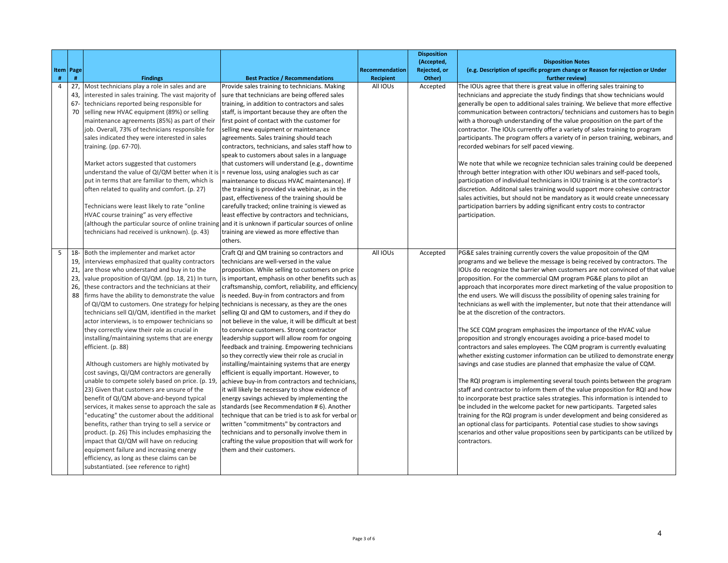|                |                                |                                                                                                                                                                                                                                                                                                                                                                                                                                                                                                                                                                                                                                                                                                                                                                                                                                                                                                                                                                                                                                                                                                                                                                                                                                                                              |                                                                                                                                                                                                                                                                                                                                                                                                                                                                                                                                                                                                                                                                                                                                                                                                                                                                                                                                                                                                                                                                                                                                                                           |                  | <b>Disposition</b>         |                                                                                                                                                                                                                                                                                                                                                                                                                                                                                                                                                                                                                                                                                                                                                                                                                                                                                                                                                                                                                                                                                                                                                                                                                                                                                                                                                                                                                                                                                                                                                                        |
|----------------|--------------------------------|------------------------------------------------------------------------------------------------------------------------------------------------------------------------------------------------------------------------------------------------------------------------------------------------------------------------------------------------------------------------------------------------------------------------------------------------------------------------------------------------------------------------------------------------------------------------------------------------------------------------------------------------------------------------------------------------------------------------------------------------------------------------------------------------------------------------------------------------------------------------------------------------------------------------------------------------------------------------------------------------------------------------------------------------------------------------------------------------------------------------------------------------------------------------------------------------------------------------------------------------------------------------------|---------------------------------------------------------------------------------------------------------------------------------------------------------------------------------------------------------------------------------------------------------------------------------------------------------------------------------------------------------------------------------------------------------------------------------------------------------------------------------------------------------------------------------------------------------------------------------------------------------------------------------------------------------------------------------------------------------------------------------------------------------------------------------------------------------------------------------------------------------------------------------------------------------------------------------------------------------------------------------------------------------------------------------------------------------------------------------------------------------------------------------------------------------------------------|------------------|----------------------------|------------------------------------------------------------------------------------------------------------------------------------------------------------------------------------------------------------------------------------------------------------------------------------------------------------------------------------------------------------------------------------------------------------------------------------------------------------------------------------------------------------------------------------------------------------------------------------------------------------------------------------------------------------------------------------------------------------------------------------------------------------------------------------------------------------------------------------------------------------------------------------------------------------------------------------------------------------------------------------------------------------------------------------------------------------------------------------------------------------------------------------------------------------------------------------------------------------------------------------------------------------------------------------------------------------------------------------------------------------------------------------------------------------------------------------------------------------------------------------------------------------------------------------------------------------------------|
|                | Item   Page                    |                                                                                                                                                                                                                                                                                                                                                                                                                                                                                                                                                                                                                                                                                                                                                                                                                                                                                                                                                                                                                                                                                                                                                                                                                                                                              |                                                                                                                                                                                                                                                                                                                                                                                                                                                                                                                                                                                                                                                                                                                                                                                                                                                                                                                                                                                                                                                                                                                                                                           | Recommendation   | (Accepted,<br>Rejected, or | <b>Disposition Notes</b><br>(e.g. Description of specific program change or Reason for rejection or Under                                                                                                                                                                                                                                                                                                                                                                                                                                                                                                                                                                                                                                                                                                                                                                                                                                                                                                                                                                                                                                                                                                                                                                                                                                                                                                                                                                                                                                                              |
| #              | #                              | <b>Findings</b>                                                                                                                                                                                                                                                                                                                                                                                                                                                                                                                                                                                                                                                                                                                                                                                                                                                                                                                                                                                                                                                                                                                                                                                                                                                              | <b>Best Practice / Recommendations</b>                                                                                                                                                                                                                                                                                                                                                                                                                                                                                                                                                                                                                                                                                                                                                                                                                                                                                                                                                                                                                                                                                                                                    | <b>Recipient</b> | Other)                     | further review)                                                                                                                                                                                                                                                                                                                                                                                                                                                                                                                                                                                                                                                                                                                                                                                                                                                                                                                                                                                                                                                                                                                                                                                                                                                                                                                                                                                                                                                                                                                                                        |
| $\overline{4}$ | 43,<br>$67 -$<br>70            | 27, Most technicians play a role in sales and are<br>interested in sales training. The vast majority of<br>technicians reported being responsible for<br>selling new HVAC equipment (89%) or selling<br>maintenance agreements (85%) as part of their<br>job. Overall, 73% of technicians responsible for<br>sales indicated they were interested in sales<br>training. (pp. 67-70).<br>Market actors suggested that customers<br>understand the value of QI/QM better when it is<br>put in terms that are familiar to them, which is<br>often related to quality and comfort. (p. 27)<br>Technicians were least likely to rate "online<br>HVAC course training" as very effective<br>(although the particular source of online training<br>technicians had received is unknown). (p. 43)                                                                                                                                                                                                                                                                                                                                                                                                                                                                                    | Provide sales training to technicians. Making<br>sure that technicians are being offered sales<br>training, in addition to contractors and sales<br>staff, is important because they are often the<br>first point of contact with the customer for<br>selling new equipment or maintenance<br>agreements. Sales training should teach<br>contractors, technicians, and sales staff how to<br>speak to customers about sales in a language<br>that customers will understand (e.g., downtime<br>= revenue loss, using analogies such as car<br>maintenance to discuss HVAC maintenance). If<br>the training is provided via webinar, as in the<br>past, effectiveness of the training should be<br>carefully tracked; online training is viewed as<br>least effective by contractors and technicians,<br>and it is unknown if particular sources of online<br>training are viewed as more effective than                                                                                                                                                                                                                                                                   | All IOUs         | Accepted                   | The IOUs agree that there is great value in offering sales training to<br>technicians and appreciate the study findings that show technicians would<br>generally be open to additional sales training. We believe that more effective<br>communication between contractors/ technicians and customers has to begin<br>with a thorough understanding of the value proposition on the part of the<br>contractor. The IOUs currently offer a variety of sales training to program<br>participants. The program offers a variety of in person training, webinars, and<br>recorded webinars for self paced viewing.<br>We note that while we recognize technician sales training could be deepened<br>through better integration with other IOU webinars and self-paced tools,<br>participation of individual technicians in IOU training is at the contractor's<br>discretion. Additonal sales training would support more cohesive contractor<br>sales activities, but should not be mandatory as it would create unnecessary<br>participation barriers by adding significant entry costs to contractor<br>participation.                                                                                                                                                                                                                                                                                                                                                                                                                                                 |
| 5              | 19,<br>21,<br>23,<br>26,<br>88 | 18- Both the implementer and market actor<br>interviews emphasized that quality contractors<br>are those who understand and buy in to the<br>value proposition of QI/QM. (pp. 18, 21) In turn,<br>these contractors and the technicians at their<br>firms have the ability to demonstrate the value<br>of QI/QM to customers. One strategy for helping technicians is necessary, as they are the ones<br>technicians sell QI/QM, identified in the market<br>actor interviews, is to empower technicians so<br>they correctly view their role as crucial in<br>installing/maintaining systems that are energy<br>efficient. (p. 88)<br>Although customers are highly motivated by<br>cost savings, QI/QM contractors are generally<br>unable to compete solely based on price. (p. 19,<br>23) Given that customers are unsure of the<br>benefit of QI/QM above-and-beyond typical<br>services, it makes sense to approach the sale as<br>"educating" the customer about the additional<br>benefits, rather than trying to sell a service or<br>product. (p. 26) This includes emphasizing the<br>impact that QI/QM will have on reducing<br>equipment failure and increasing energy<br>efficiency, as long as these claims can be<br>substantiated. (see reference to right) | others.<br>Craft QI and QM training so contractors and<br>technicians are well-versed in the value<br>proposition. While selling to customers on price<br>is important, emphasis on other benefits such as<br>craftsmanship, comfort, reliability, and efficiency<br>is needed. Buy-in from contractors and from<br>selling QI and QM to customers, and if they do<br>not believe in the value, it will be difficult at best<br>to convince customers. Strong contractor<br>leadership support will allow room for ongoing<br>feedback and training. Empowering technicians<br>so they correctly view their role as crucial in<br>installing/maintaining systems that are energy<br>efficient is equally important. However, to<br>achieve buy-in from contractors and technicians,<br>it will likely be necessary to show evidence of<br>energy savings achieved by implementing the<br>standards (see Recommendation #6). Another<br>technique that can be tried is to ask for verbal or<br>written "commitments" by contractors and<br>technicians and to personally involve them in<br>crafting the value proposition that will work for<br>them and their customers. | All IOUs         | Accepted                   | PG&E sales training currently covers the value propositoin of the QM<br>programs and we believe the message is being received by contractors. The<br>IOUs do recognize the barrier when customers are not convinced of that value<br>proposition. For the commercial QM program PG&E plans to pilot an<br>approach that incorporates more direct marketing of the value proposition to<br>the end users. We will discuss the possibility of opening sales training for<br>technicians as well with the implementer, but note that their attendance will<br>be at the discretion of the contractors.<br>The SCE CQM program emphasizes the importance of the HVAC value<br>proposition and strongly encourages avoiding a price-based model to<br>contractors and sales employees. The CQM program is currently evaluating<br>whether existing customer information can be utilized to demonstrate energy<br>savings and case studies are planned that emphasize the value of CQM.<br>The RQI program is implementing several touch points between the program<br>staff and contractor to inform them of the value proposition for RQI and how<br>to incorporate best practice sales strategies. This information is intended to<br>be included in the welcome packet for new participants. Targeted sales<br>training for the RQI program is under development and being considered as<br>an optional class for participants. Potential case studies to show savings<br>scenarios and other value propositions seen by participants can be utilized by<br>contractors. |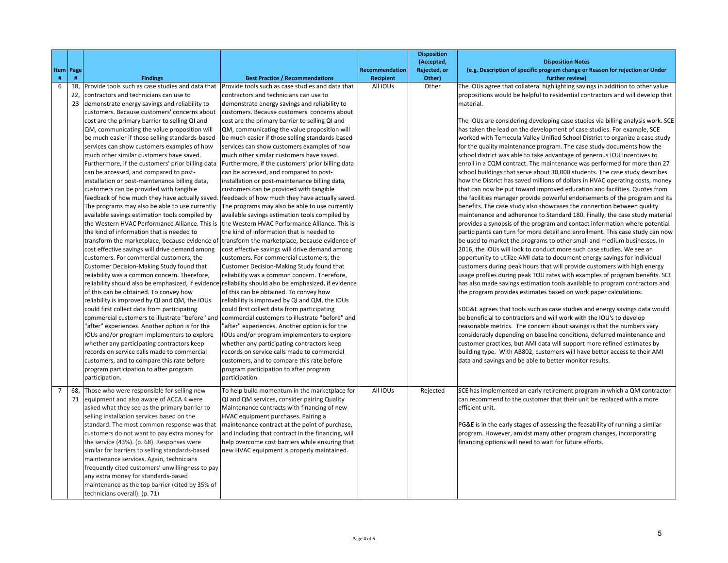|                       |                                                                                            |                                                                                            |                | <b>Disposition</b><br>(Accepted, | <b>Disposition Notes</b>                                                                                                                                         |
|-----------------------|--------------------------------------------------------------------------------------------|--------------------------------------------------------------------------------------------|----------------|----------------------------------|------------------------------------------------------------------------------------------------------------------------------------------------------------------|
| Item   Page           |                                                                                            |                                                                                            | Recommendation | Rejected, or                     | (e.g. Description of specific program change or Reason for rejection or Under                                                                                    |
| $\#$<br>#             | <b>Findings</b>                                                                            | <b>Best Practice / Recommendations</b>                                                     | Recipient      | Other)                           | further review)                                                                                                                                                  |
| 6<br>18,<br>22,       | Provide tools such as case studies and data that<br>contractors and technicians can use to | Provide tools such as case studies and data that<br>contractors and technicians can use to | All IOUs       | Other                            | The IOUs agree that collateral highlighting savings in addition to other value<br>propositions would be helpful to residential contractors and will develop that |
| 23                    | demonstrate energy savings and reliability to                                              | demonstrate energy savings and reliability to                                              |                |                                  | material.                                                                                                                                                        |
|                       | customers. Because customers' concerns about                                               | customers. Because customers' concerns about                                               |                |                                  |                                                                                                                                                                  |
|                       | cost are the primary barrier to selling QI and                                             | cost are the primary barrier to selling QI and                                             |                |                                  | The IOUs are considering developing case studies via billing analysis work. SCE                                                                                  |
|                       | QM, communicating the value proposition will                                               | QM, communicating the value proposition will                                               |                |                                  | has taken the lead on the development of case studies. For example, SCE                                                                                          |
|                       | be much easier if those selling standards-based                                            | be much easier if those selling standards-based                                            |                |                                  | worked with Temecula Valley Unified School District to organize a case study                                                                                     |
|                       | services can show customers examples of how                                                | services can show customers examples of how                                                |                |                                  | for the quality maintenance program. The case study documents how the                                                                                            |
|                       | much other similar customers have saved.                                                   | much other similar customers have saved.                                                   |                |                                  | school district was able to take advantage of generous IOU incentives to                                                                                         |
|                       | Furthermore, if the customers' prior billing data                                          | Furthermore, if the customers' prior billing data                                          |                |                                  | enroll in a CQM contract. The maintenance was performed for more than 27                                                                                         |
|                       | can be accessed, and compared to post-                                                     | can be accessed, and compared to post-                                                     |                |                                  | school buildings that serve about 30,000 students. The case study describes                                                                                      |
|                       | installation or post-maintenance billing data,                                             | installation or post-maintenance billing data,                                             |                |                                  | how the District has saved millions of dollars in HVAC operating costs, money                                                                                    |
|                       | customers can be provided with tangible                                                    | customers can be provided with tangible                                                    |                |                                  | that can now be put toward improved education and facilities. Quotes from                                                                                        |
|                       | feedback of how much they have actually saved.                                             | feedback of how much they have actually saved.                                             |                |                                  | the facilities manager provide powerful endorsements of the program and its                                                                                      |
|                       | The programs may also be able to use currently                                             | The programs may also be able to use currently                                             |                |                                  | benefits. The case study also showcases the connection between quality                                                                                           |
|                       | available savings estimation tools compiled by                                             | available savings estimation tools compiled by                                             |                |                                  | maintenance and adherence to Standard 180. Finally, the case study material                                                                                      |
|                       | the Western HVAC Performance Alliance. This is                                             | the Western HVAC Performance Alliance. This is                                             |                |                                  | provides a synopsis of the program and contact information where potential                                                                                       |
|                       | the kind of information that is needed to                                                  | the kind of information that is needed to                                                  |                |                                  | participants can turn for more detail and enrollment. This case study can now                                                                                    |
|                       | transform the marketplace, because evidence of                                             | transform the marketplace, because evidence of                                             |                |                                  | be used to market the programs to other small and medium businesses. In<br>2016, the IOUs will look to conduct more such case studies. We see an                 |
|                       | cost effective savings will drive demand among<br>customers. For commercial customers, the | cost effective savings will drive demand among<br>customers. For commercial customers, the |                |                                  | opportunity to utilize AMI data to document energy savings for individual                                                                                        |
|                       | Customer Decision-Making Study found that                                                  | Customer Decision-Making Study found that                                                  |                |                                  | customers during peak hours that will provide customers with high energy                                                                                         |
|                       | reliability was a common concern. Therefore,                                               | reliability was a common concern. Therefore,                                               |                |                                  | usage profiles during peak TOU rates with examples of program benefits. SCE                                                                                      |
|                       | reliability should also be emphasized, if evidence                                         | reliability should also be emphasized, if evidence                                         |                |                                  | has also made savings estimation tools available to program contractors and                                                                                      |
|                       | of this can be obtained. To convey how                                                     | of this can be obtained. To convey how                                                     |                |                                  | the program provides estimates based on work paper calculations.                                                                                                 |
|                       | reliability is improved by QI and QM, the IOUs                                             | reliability is improved by QI and QM, the IOUs                                             |                |                                  |                                                                                                                                                                  |
|                       | could first collect data from participating                                                | could first collect data from participating                                                |                |                                  | SDG&E agrees that tools such as case studies and energy savings data would                                                                                       |
|                       | commercial customers to illustrate "before" and                                            | commercial customers to illustrate "before" and                                            |                |                                  | be beneficial to contractors and will work with the IOU's to develop                                                                                             |
|                       | "after" experiences. Another option is for the                                             | "after" experiences. Another option is for the                                             |                |                                  | reasonable metrics. The concern about savings is that the numbers vary                                                                                           |
|                       | IOUs and/or program implementers to explore                                                | <b>IOUs and/or program implementers to explore</b>                                         |                |                                  | considerably depending on baseline conditions, deferred maintenance and                                                                                          |
|                       | whether any participating contractors keep                                                 | whether any participating contractors keep                                                 |                |                                  | customer practices, but AMI data will support more refined estimates by                                                                                          |
|                       | records on service calls made to commercial                                                | records on service calls made to commercial                                                |                |                                  | building type. With AB802, customers will have better access to their AMI                                                                                        |
|                       | customers, and to compare this rate before                                                 | customers, and to compare this rate before                                                 |                |                                  | data and savings and be able to better monitor results.                                                                                                          |
|                       | program participation to after program                                                     | program participation to after program                                                     |                |                                  |                                                                                                                                                                  |
|                       | participation.                                                                             | participation.                                                                             |                |                                  |                                                                                                                                                                  |
| $\overline{7}$<br>68, | Those who were responsible for selling new                                                 | To help build momentum in the marketplace for                                              | All IOUs       | Rejected                         | SCE has implemented an early retirement program in which a QM contractor                                                                                         |
| 71                    | equipment and also aware of ACCA 4 were                                                    | QI and QM services, consider pairing Quality                                               |                |                                  | can recommend to the customer that their unit be replaced with a more                                                                                            |
|                       | asked what they see as the primary barrier to                                              | Maintenance contracts with financing of new                                                |                |                                  | efficient unit.                                                                                                                                                  |
|                       | selling installation services based on the                                                 | HVAC equipment purchases. Pairing a                                                        |                |                                  |                                                                                                                                                                  |
|                       | standard. The most common response was that                                                | maintenance contract at the point of purchase,                                             |                |                                  | PG&E is in the early stages of assessing the feasability of running a similar                                                                                    |
|                       | customers do not want to pay extra money for                                               | and including that contract in the financing, will                                         |                |                                  | program. However, amidst many other program changes, incorporating                                                                                               |
|                       | the service (43%). (p. 68) Responses were                                                  | help overcome cost barriers while ensuring that                                            |                |                                  | financing options will need to wait for future efforts.                                                                                                          |
|                       | similar for barriers to selling standards-based                                            | new HVAC equipment is properly maintained.                                                 |                |                                  |                                                                                                                                                                  |
|                       | maintenance services. Again, technicians                                                   |                                                                                            |                |                                  |                                                                                                                                                                  |
|                       | frequently cited customers' unwillingness to pay                                           |                                                                                            |                |                                  |                                                                                                                                                                  |
|                       | any extra money for standards-based                                                        |                                                                                            |                |                                  |                                                                                                                                                                  |
|                       | maintenance as the top barrier (cited by 35% of<br>technicians overall). (p. 71)           |                                                                                            |                |                                  |                                                                                                                                                                  |
|                       |                                                                                            |                                                                                            |                |                                  |                                                                                                                                                                  |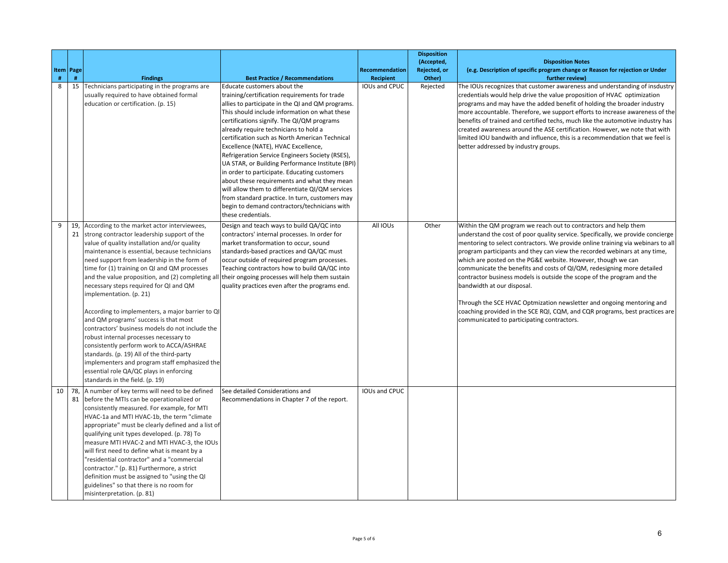| #  | Item   Page<br># | <b>Findings</b>                                                                                                                                                                                                                                                                                                                                                                                                                                                                                                                                                                                                                                                                                                                                                                                                                               | <b>Best Practice / Recommendations</b>                                                                                                                                                                                                                                                                                                                                                                                                                                                                                                                                                                                                                                                                                                             | <b>Recommendation</b><br><b>Recipient</b> | <b>Disposition</b><br>(Accepted,<br>Rejected, or<br>Other) | <b>Disposition Notes</b><br>(e.g. Description of specific program change or Reason for rejection or Under<br>further review)                                                                                                                                                                                                                                                                                                                                                                                                                                                                                                                                                                                                                                               |
|----|------------------|-----------------------------------------------------------------------------------------------------------------------------------------------------------------------------------------------------------------------------------------------------------------------------------------------------------------------------------------------------------------------------------------------------------------------------------------------------------------------------------------------------------------------------------------------------------------------------------------------------------------------------------------------------------------------------------------------------------------------------------------------------------------------------------------------------------------------------------------------|----------------------------------------------------------------------------------------------------------------------------------------------------------------------------------------------------------------------------------------------------------------------------------------------------------------------------------------------------------------------------------------------------------------------------------------------------------------------------------------------------------------------------------------------------------------------------------------------------------------------------------------------------------------------------------------------------------------------------------------------------|-------------------------------------------|------------------------------------------------------------|----------------------------------------------------------------------------------------------------------------------------------------------------------------------------------------------------------------------------------------------------------------------------------------------------------------------------------------------------------------------------------------------------------------------------------------------------------------------------------------------------------------------------------------------------------------------------------------------------------------------------------------------------------------------------------------------------------------------------------------------------------------------------|
| 8  |                  | 15 Technicians participating in the programs are<br>usually required to have obtained formal<br>education or certification. (p. 15)                                                                                                                                                                                                                                                                                                                                                                                                                                                                                                                                                                                                                                                                                                           | Educate customers about the<br>training/certification requirements for trade<br>allies to participate in the QI and QM programs.<br>This should include information on what these<br>certifications signify. The QI/QM programs<br>already require technicians to hold a<br>certification such as North American Technical<br>Excellence (NATE), HVAC Excellence,<br>Refrigeration Service Engineers Society (RSES),<br>UA STAR, or Building Performance Institute (BPI)<br>in order to participate. Educating customers<br>about these requirements and what they mean<br>will allow them to differentiate QI/QM services<br>from standard practice. In turn, customers may<br>begin to demand contractors/technicians with<br>these credentials. | <b>IOUs and CPUC</b>                      | Rejected                                                   | The IOUs recognizes that customer awareness and understanding of insdustry<br>credentials would help drive the value proposition of HVAC optimization<br>programs and may have the added benefit of holding the broader industry<br>more accountable. Therefore, we support efforts to increase awareness of the<br>benefits of trained and certified techs, much like the automotive industry has<br>created awareness around the ASE certification. However, we note that with<br>limited IOU bandwith and influence, this is a recommendation that we feel is<br>better addressed by industry groups.                                                                                                                                                                   |
| 9  |                  | 19, According to the market actor interviewees,<br>21 strong contractor leadership support of the<br>value of quality installation and/or quality<br>maintenance is essential, because technicians<br>need support from leadership in the form of<br>time for (1) training on QI and QM processes<br>and the value proposition, and (2) completing all<br>necessary steps required for QI and QM<br>implementation. (p. 21)<br>According to implementers, a major barrier to QI<br>and QM programs' success is that most<br>contractors' business models do not include the<br>robust internal processes necessary to<br>consistently perform work to ACCA/ASHRAE<br>standards. (p. 19) All of the third-party<br>implementers and program staff emphasized the<br>essential role QA/QC plays in enforcing<br>standards in the field. (p. 19) | Design and teach ways to build QA/QC into<br>contractors' internal processes. In order for<br>market transformation to occur, sound<br>standards-based practices and QA/QC must<br>occur outside of required program processes.<br>Teaching contractors how to build QA/QC into<br>their ongoing processes will help them sustain<br>quality practices even after the programs end.                                                                                                                                                                                                                                                                                                                                                                | All IOUs                                  | Other                                                      | Within the QM program we reach out to contractors and help them<br>understand the cost of poor quality service. Specifically, we provide concierge<br>mentoring to select contractors. We provide online training via webinars to all<br>program participants and they can view the recorded webinars at any time,<br>which are posted on the PG&E website. However, though we can<br>communicate the benefits and costs of QI/QM, redesigning more detailed<br>contractor business models is outside the scope of the program and the<br>bandwidth at our disposal.<br>Through the SCE HVAC Optmization newsletter and ongoing mentoring and<br>coaching provided in the SCE RQI, CQM, and CQR programs, best practices are<br>communicated to participating contractors. |
| 10 |                  | 78, A number of key terms will need to be defined<br>81 before the MTIs can be operationalized or<br>consistently measured. For example, for MTI<br>HVAC-1a and MTI HVAC-1b, the term "climate<br>appropriate" must be clearly defined and a list of<br>qualifying unit types developed. (p. 78) To<br>measure MTI HVAC-2 and MTI HVAC-3, the IOUs<br>will first need to define what is meant by a<br>"residential contractor" and a "commercial<br>contractor." (p. 81) Furthermore, a strict<br>definition must be assigned to "using the QI<br>guidelines" so that there is no room for<br>misinterpretation. (p. 81)                                                                                                                                                                                                                      | See detailed Considerations and<br>Recommendations in Chapter 7 of the report.                                                                                                                                                                                                                                                                                                                                                                                                                                                                                                                                                                                                                                                                     | IOUs and CPUC                             |                                                            |                                                                                                                                                                                                                                                                                                                                                                                                                                                                                                                                                                                                                                                                                                                                                                            |